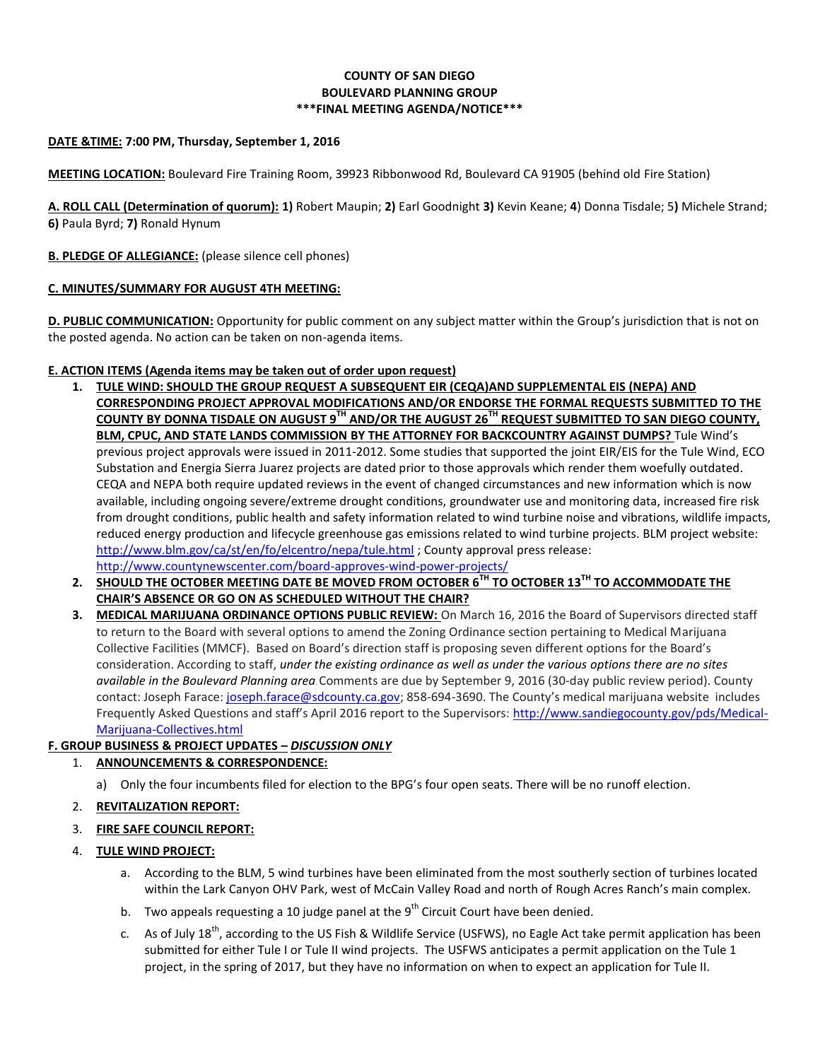## **COUNTY OF SAN DIEGO BOULEVARD PLANNING GROUP \*\*\*FINAL MEETING AGENDA/NOTICE\*\*\***

### **DATE &TIME: 7:00 PM, Thursday, September 1, 2016**

**MEETING LOCATION:** Boulevard Fire Training Room, 39923 Ribbonwood Rd, Boulevard CA 91905 (behind old Fire Station)

**A. ROLL CALL (Determination of quorum): 1)** Robert Maupin; **2)** Earl Goodnight **3)** Kevin Keane; **4**) Donna Tisdale; 5**)** Michele Strand; **6)** Paula Byrd; **7)** Ronald Hynum

### **B. PLEDGE OF ALLEGIANCE:** (please silence cell phones)

### **C. MINUTES/SUMMARY FOR AUGUST 4TH MEETING:**

**D. PUBLIC COMMUNICATION:** Opportunity for public comment on any subject matter within the Group's jurisdiction that is not on the posted agenda. No action can be taken on non-agenda items.

### **E. ACTION ITEMS (Agenda items may be taken out of order upon request)**

- **1. TULE WIND: SHOULD THE GROUP REQUEST A SUBSEQUENT EIR (CEQA)AND SUPPLEMENTAL EIS (NEPA) AND CORRESPONDING PROJECT APPROVAL MODIFICATIONS AND/OR ENDORSE THE FORMAL REQUESTS SUBMITTED TO THE COUNTY BY DONNA TISDALE ON AUGUST 9TH AND/OR THE AUGUST 26TH REQUEST SUBMITTED TO SAN DIEGO COUNTY, BLM, CPUC, AND STATE LANDS COMMISSION BY THE ATTORNEY FOR BACKCOUNTRY AGAINST DUMPS?** Tule Wind's previous project approvals were issued in 2011-2012. Some studies that supported the joint EIR/EIS for the Tule Wind, ECO Substation and Energia Sierra Juarez projects are dated prior to those approvals which render them woefully outdated. CEQA and NEPA both require updated reviews in the event of changed circumstances and new information which is now available, including ongoing severe/extreme drought conditions, groundwater use and monitoring data, increased fire risk from drought conditions, public health and safety information related to wind turbine noise and vibrations, wildlife impacts, reduced energy production and lifecycle greenhouse gas emissions related to wind turbine projects. BLM project website: <http://www.blm.gov/ca/st/en/fo/elcentro/nepa/tule.html> ; County approval press release: <http://www.countynewscenter.com/board-approves-wind-power-projects/>
- **2. SHOULD THE OCTOBER MEETING DATE BE MOVED FROM OCTOBER 6TH TO OCTOBER 13TH TO ACCOMMODATE THE CHAIR'S ABSENCE OR GO ON AS SCHEDULED WITHOUT THE CHAIR?**
- **3. MEDICAL MARIJUANA ORDINANCE OPTIONS PUBLIC REVIEW:** On March 16, 2016 the Board of Supervisors directed staff to return to the Board with several options to amend the Zoning Ordinance section pertaining to Medical Marijuana Collective Facilities (MMCF). Based on Board's direction staff is proposing seven different options for the Board's consideration. According to staff, *under the existing ordinance as well as under the various options there are no sites available in the Boulevard Planning area*.Comments are due by September 9, 2016 (30-day public review period). County contact: Joseph Farace: [joseph.farace@sdcounty.ca.gov;](mailto:joseph.farace@sdcounty.ca.gov) 858-694-3690. The County's medical marijuana website includes Frequently Asked Questions and staff's April 2016 report to the Supervisors: [http://www.sandiegocounty.gov/pds/Medical-](http://www.sandiegocounty.gov/pds/Medical-Marijuana-Collectives.html)[Marijuana-Collectives.html](http://www.sandiegocounty.gov/pds/Medical-Marijuana-Collectives.html)

### **F. GROUP BUSINESS & PROJECT UPDATES –** *DISCUSSION ONLY*

# 1. **ANNOUNCEMENTS & CORRESPONDENCE:**

a) Only the four incumbents filed for election to the BPG's four open seats. There will be no runoff election.

### 2. **REVITALIZATION REPORT:**

### 3. **FIRE SAFE COUNCIL REPORT:**

### 4. **TULE WIND PROJECT:**

- a. According to the BLM, 5 wind turbines have been eliminated from the most southerly section of turbines located within the Lark Canyon OHV Park, west of McCain Valley Road and north of Rough Acres Ranch's main complex.
- b. Two appeals requesting a 10 judge panel at the 9<sup>th</sup> Circuit Court have been denied.
- c. As of July 18<sup>th</sup>, according to the US Fish & Wildlife Service (USFWS), no Eagle Act take permit application has been submitted for either Tule I or Tule II wind projects. The USFWS anticipates a permit application on the Tule 1 project, in the spring of 2017, but they have no information on when to expect an application for Tule II.